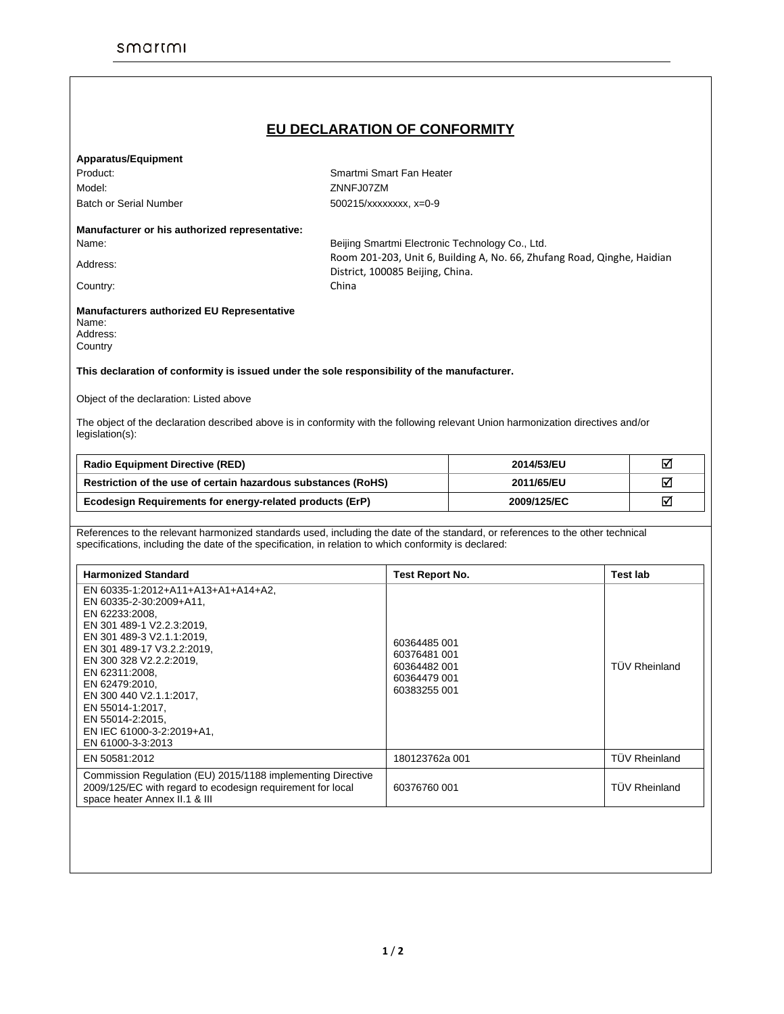## **EU DECLARATION OF CONFORMITY**

|  |  |  | <b>Apparatus/Equipment</b> |  |
|--|--|--|----------------------------|--|
|  |  |  |                            |  |

Model: ZNNFJ07ZM

Product: Smartmi Smart Fan Heater Batch or Serial Number 500215/xxxxxxx, x=0-9

## **Manufacturer or his authorized representative:**

Name: Beijing Smartmi Electronic Technology Co., Ltd. Address: Room 201-203, Unit 6, Building A, No. 66, Zhufang Road, Qinghe, Haidian District, 100085 Beijing, China.

Country: Country: China

## **Manufacturers authorized EU Representative**  Name:

| ιναιιισ. |
|----------|
| Address: |
| Country  |

## **This declaration of conformity is issued under the sole responsibility of the manufacturer.**

Object of the declaration: Listed above

The object of the declaration described above is in conformity with the following relevant Union harmonization directives and/or legislation(s):

| <b>Radio Equipment Directive (RED)</b>                        | 2014/53/EU  | ∇ |
|---------------------------------------------------------------|-------------|---|
| Restriction of the use of certain hazardous substances (RoHS) | 2011/65/EU  | ∇ |
| Ecodesign Requirements for energy-related products (ErP)      | 2009/125/EC | ∇ |

References to the relevant harmonized standards used, including the date of the standard, or references to the other technical specifications, including the date of the specification, in relation to which conformity is declared:

| <b>Harmonized Standard</b>                                                                                                                                                                                                                                                                                                                                  | <b>Test Report No.</b>                                                       | <b>Test lab</b>      |
|-------------------------------------------------------------------------------------------------------------------------------------------------------------------------------------------------------------------------------------------------------------------------------------------------------------------------------------------------------------|------------------------------------------------------------------------------|----------------------|
| EN 60335-1:2012+A11+A13+A1+A14+A2,<br>EN 60335-2-30:2009+A11,<br>EN 62233:2008.<br>EN 301 489-1 V2.2.3:2019,<br>EN 301 489-3 V2.1.1:2019,<br>EN 301 489-17 V3.2.2:2019,<br>EN 300 328 V2.2.2.2019.<br>EN 62311:2008.<br>EN 62479:2010,<br>EN 300 440 V2.1.1:2017,<br>EN 55014-1:2017.<br>EN 55014-2:2015.<br>EN IEC 61000-3-2:2019+A1.<br>EN 61000-3-3:2013 | 60364485 001<br>60376481 001<br>60364482 001<br>60364479 001<br>60383255 001 | <b>TÜV Rheinland</b> |
| EN 50581:2012                                                                                                                                                                                                                                                                                                                                               | 180123762a 001                                                               | <b>TUV Rheinland</b> |
| Commission Regulation (EU) 2015/1188 implementing Directive<br>2009/125/EC with regard to ecodesign requirement for local<br>space heater Annex II.1 & III                                                                                                                                                                                                  | 60376760 001                                                                 | <b>TÜV Rheinland</b> |